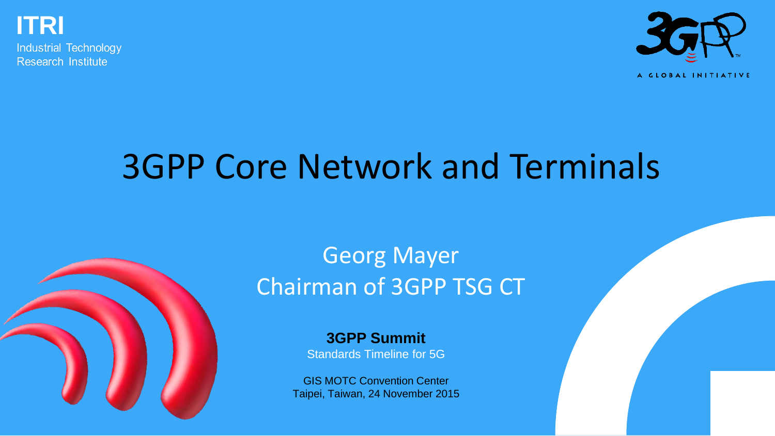

**Industrial Technology** Research Institute



#### A GLOBAL INITIATIVE

## 3GPP Core Network and Terminals



**3GPP Summit** Standards Timeline for 5G

GIS MOTC Convention Center Taipei, Taiwan, 24 November 2015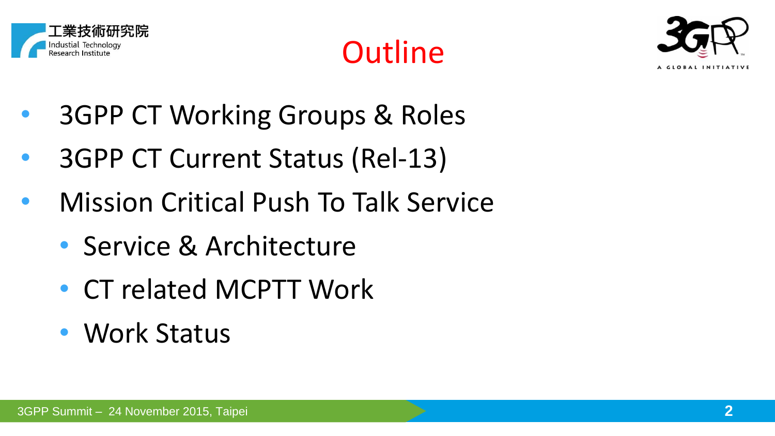





- 3GPP CT Working Groups & Roles
- 3GPP CT Current Status (Rel-13)
- Mission Critical Push To Talk Service
	- Service & Architecture
	- CT related MCPTT Work
	- Work Status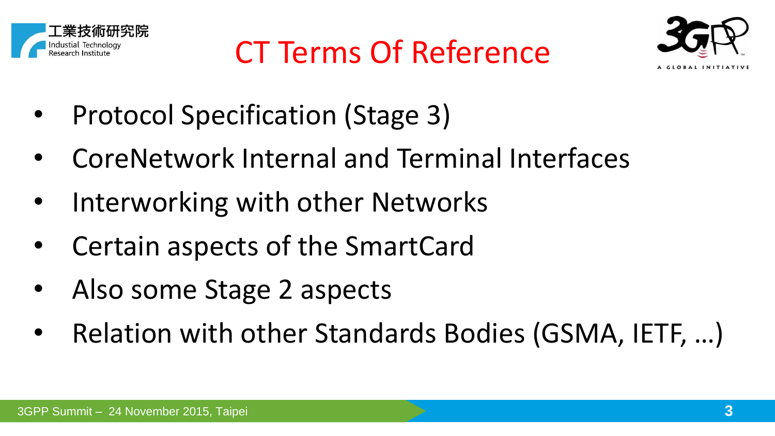





- Protocol Specification (Stage 3)
- CoreNetwork Internal and Terminal Interfaces
- Interworking with other Networks
- Certain aspects of the SmartCard
- Also some Stage 2 aspects
- Relation with other Standards Bodies (GSMA, IETF, …)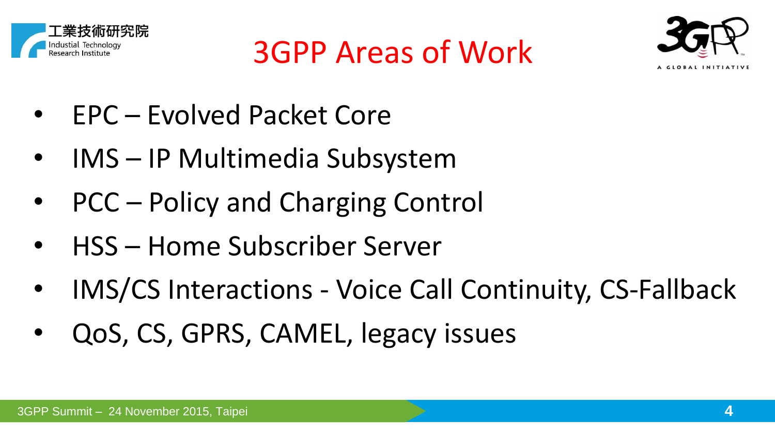



- EPC Evolved Packet Core
- IMS IP Multimedia Subsystem
- PCC Policy and Charging Control
- HSS Home Subscriber Server
- IMS/CS Interactions Voice Call Continuity, CS-Fallback

3GPP Areas of Work

• QoS, CS, GPRS, CAMEL, legacy issues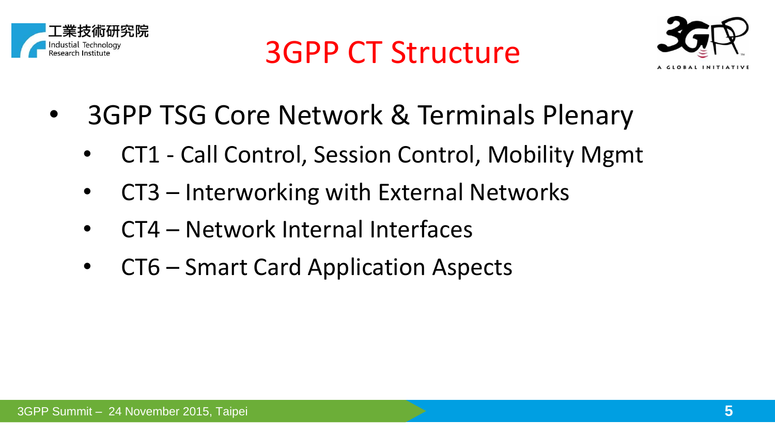





- 3GPP TSG Core Network & Terminals Plenary
	- CT1 Call Control, Session Control, Mobility Mgmt
	- CT3 Interworking with External Networks
	- CT4 Network Internal Interfaces
	- CT6 Smart Card Application Aspects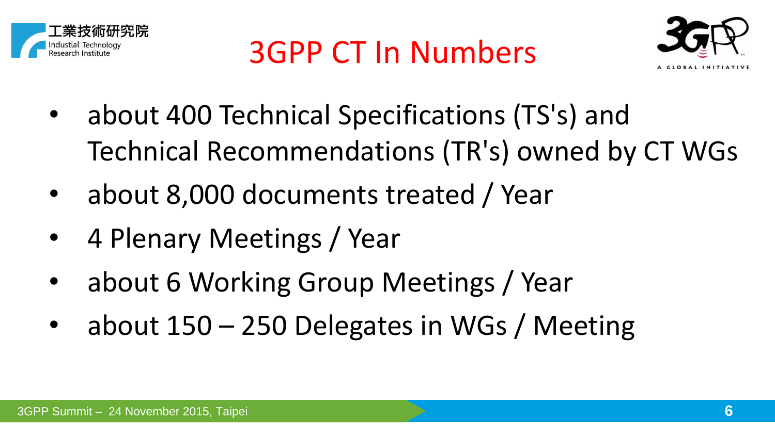



- about 400 Technical Specifications (TS's) and Technical Recommendations (TR's) owned by CT WGs
- about 8,000 documents treated / Year
- 4 Plenary Meetings / Year
- about 6 Working Group Meetings / Year
- about 150 250 Delegates in WGs / Meeting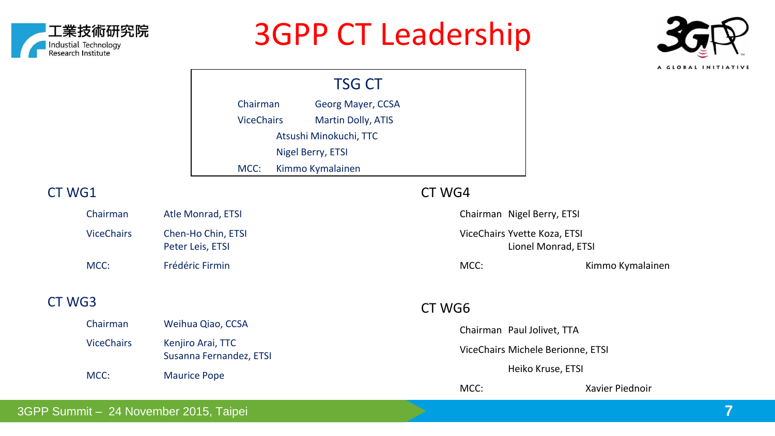

#### 3GPP CT Leadership



TSG CT Chairman Georg Mayer, CCSA ViceChairs Martin Dolly, ATIS Atsushi Minokuchi, TTC Nigel Berry, ETSI MCC: Kimmo Kymalainen

#### CT WG1

CT WG3

| Chairman          | Atle Monrad, ETSI                      |
|-------------------|----------------------------------------|
| <b>ViceChairs</b> | Chen-Ho Chin, ETSI<br>Peter Leis, ETSI |
| MCC:              | Frédéric Firmin                        |

#### CT WG4

Chairman Nigel Berry, ETSI ViceChairs Yvette Koza, ETSI Lionel Monrad, ETSI MCC: Kimmo Kymalainen CT WG6

Chairman Weihua Qiao, CCSA ViceChairs Kenjiro Arai, TTC Susanna Fernandez, ETSI MCC: Maurice Pope Chairman Paul Jolivet, TTA ViceChairs Michele Berionne, ETSI Heiko Kruse, ETSI MCC: Xavier Piednoir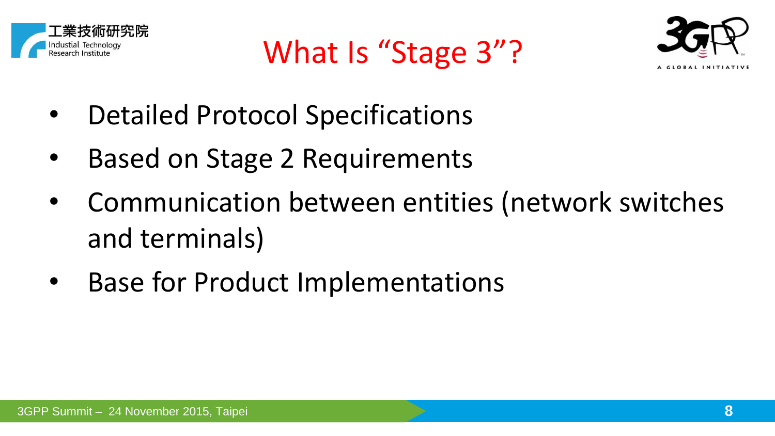

What Is "Stage 3"?



- Detailed Protocol Specifications
- Based on Stage 2 Requirements
- Communication between entities (network switches and terminals)
- **Base for Product Implementations**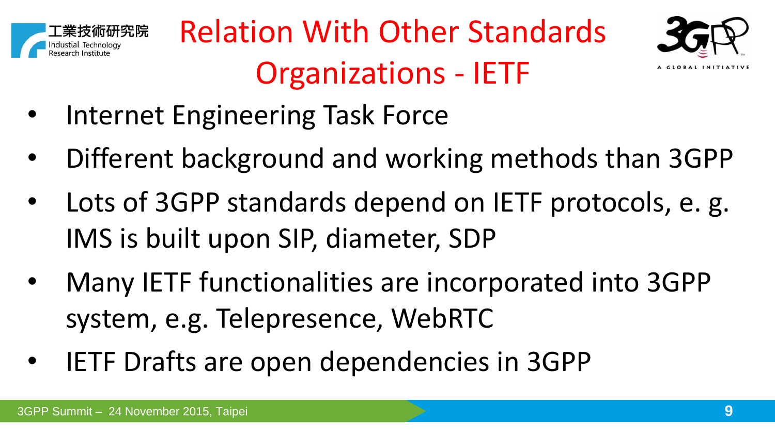





- Internet Engineering Task Force
- Different background and working methods than 3GPP
- Lots of 3GPP standards depend on IETF protocols, e. g. IMS is built upon SIP, diameter, SDP
- Many IETF functionalities are incorporated into 3GPP system, e.g. Telepresence, WebRTC
- IETF Drafts are open dependencies in 3GPP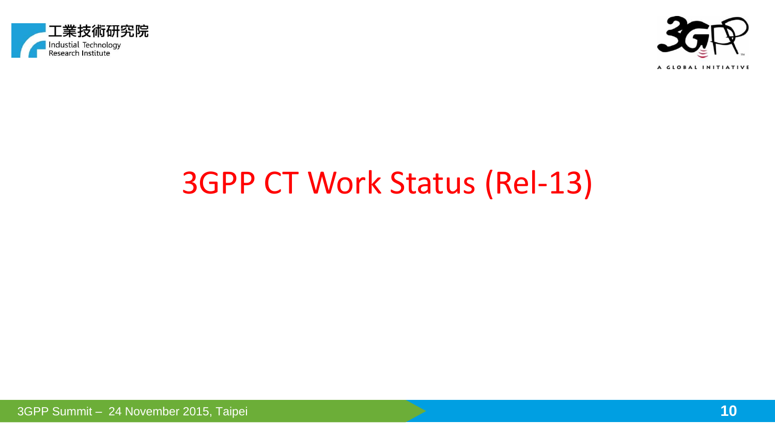



## 3GPP CT Work Status (Rel-13)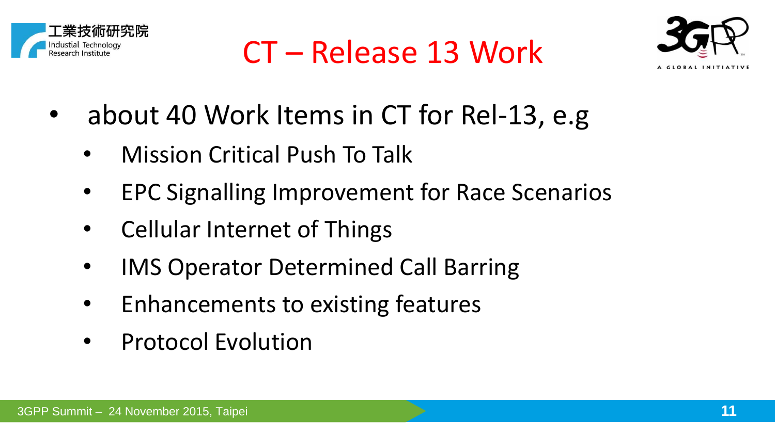





- about 40 Work Items in CT for Rel-13, e.g
	- Mission Critical Push To Talk
	- EPC Signalling Improvement for Race Scenarios
	- Cellular Internet of Things
	- IMS Operator Determined Call Barring
	- Enhancements to existing features
	- Protocol Evolution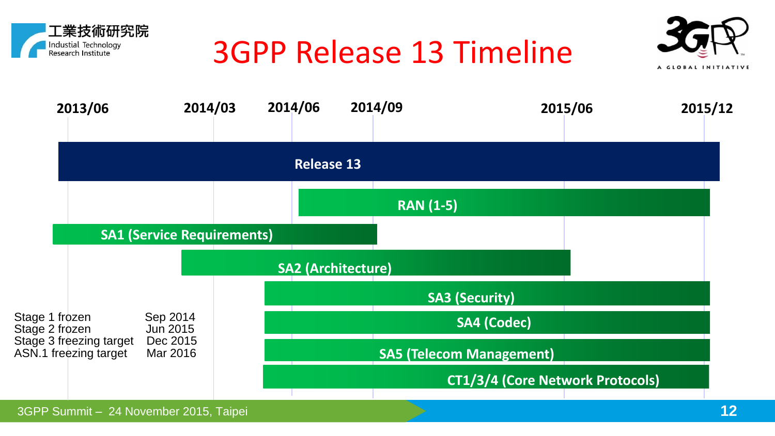

## 3GPP Release 13 Timeline



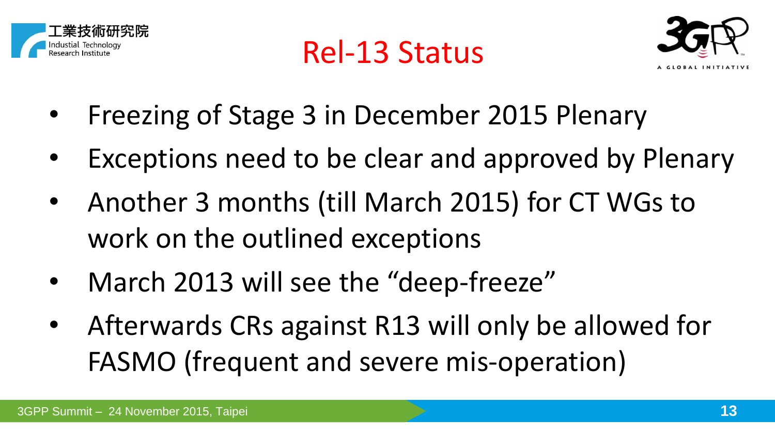

Rel-13 Status



- Freezing of Stage 3 in December 2015 Plenary
- Exceptions need to be clear and approved by Plenary
- Another 3 months (till March 2015) for CT WGs to work on the outlined exceptions
- March 2013 will see the "deep-freeze"
- Afterwards CRs against R13 will only be allowed for FASMO (frequent and severe mis-operation)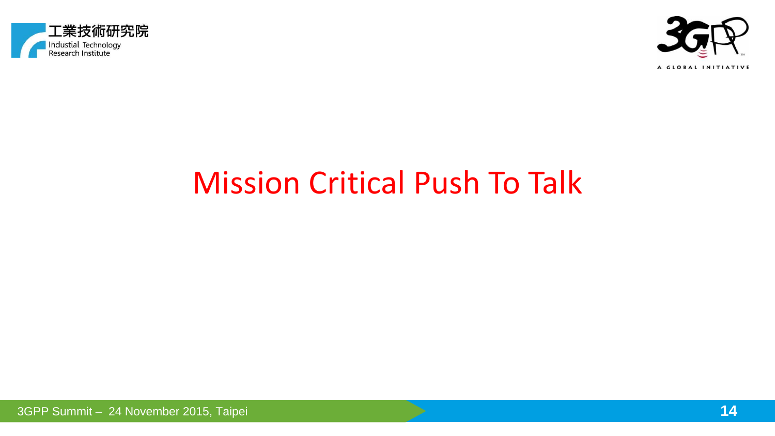



#### Mission Critical Push To Talk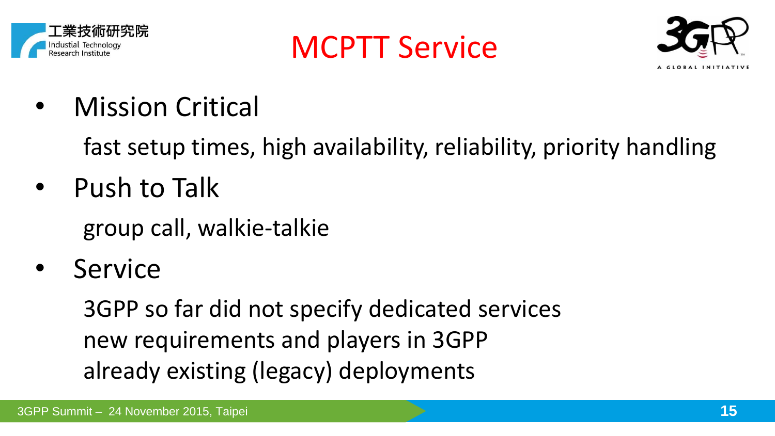

MCPTT Service



• Mission Critical

fast setup times, high availability, reliability, priority handling

- Push to Talk group call, walkie-talkie
- **Service**

3GPP so far did not specify dedicated services new requirements and players in 3GPP already existing (legacy) deployments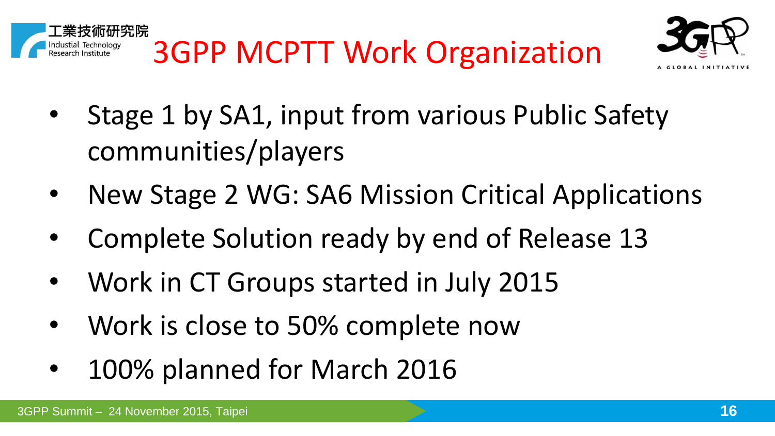



- Stage 1 by SA1, input from various Public Safety communities/players
- New Stage 2 WG: SA6 Mission Critical Applications
- Complete Solution ready by end of Release 13
- Work in CT Groups started in July 2015
- Work is close to 50% complete now
- 100% planned for March 2016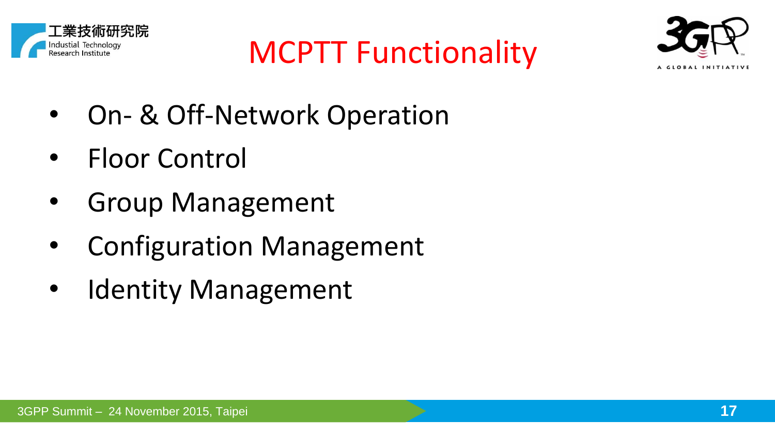





- On- & Off-Network Operation
- Floor Control
- Group Management
- Configuration Management
- **Identity Management**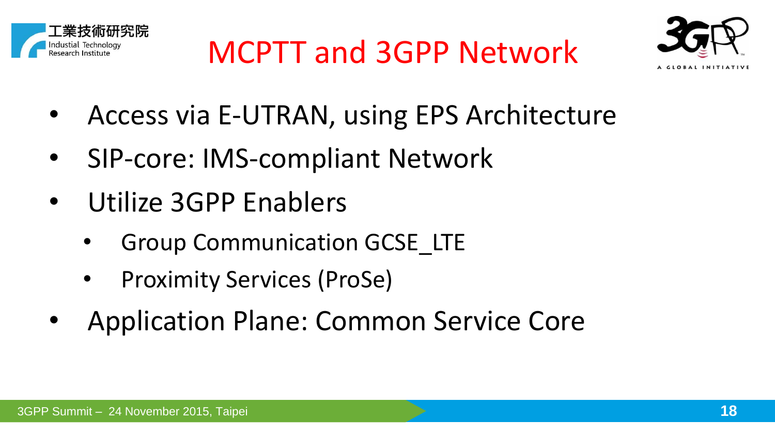



- Access via E-UTRAN, using EPS Architecture
- SIP-core: IMS-compliant Network
- Utilize 3GPP Enablers
	- **Group Communication GCSE\_LTE**
	- Proximity Services (ProSe)
- Application Plane: Common Service Core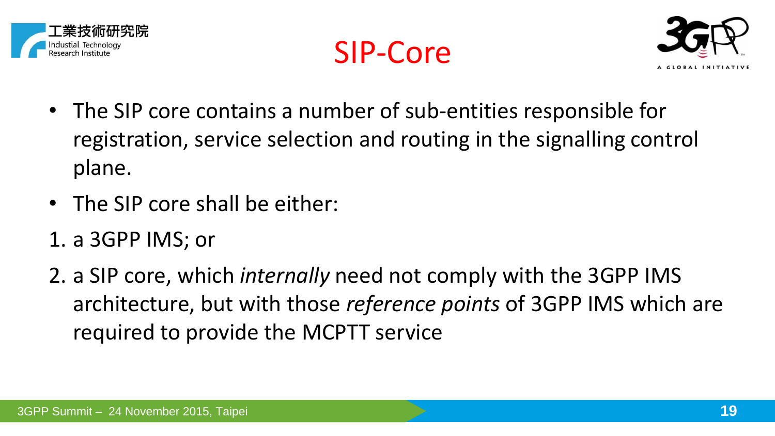





- The SIP core contains a number of sub-entities responsible for registration, service selection and routing in the signalling control plane.
- The SIP core shall be either:
- 1. a 3GPP IMS; or
- 2. a SIP core, which *internally* need not comply with the 3GPP IMS architecture, but with those *reference points* of 3GPP IMS which are required to provide the MCPTT service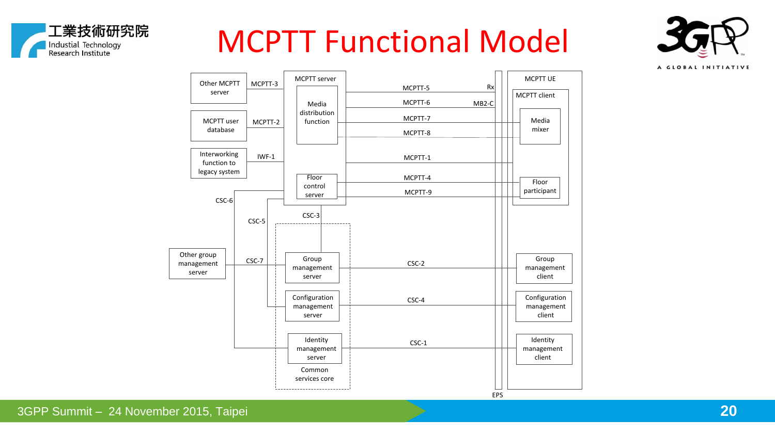

### MCPTT Functional Model



A GLOBAL INITIATIVE

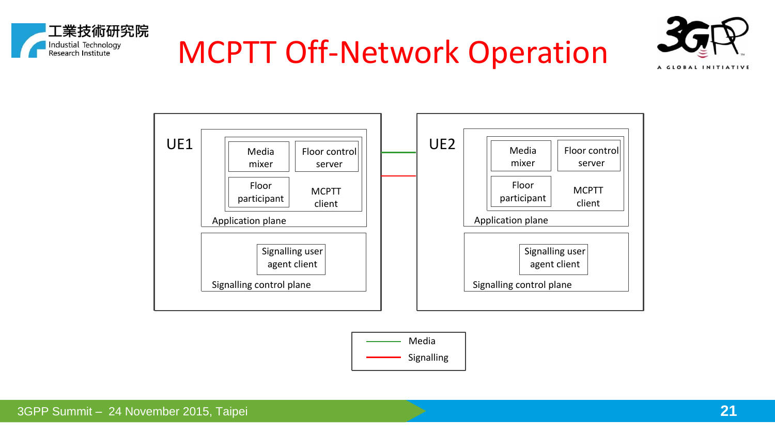





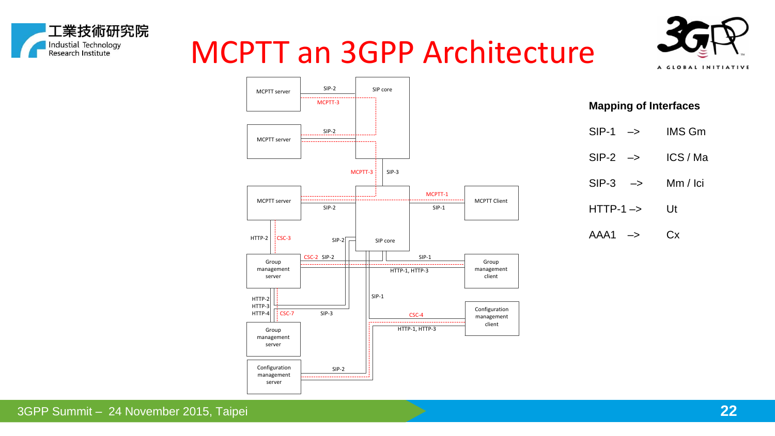## MCPTT an 3GPP Architecture





工業技術研究院

Industial Technology<br>Research Institute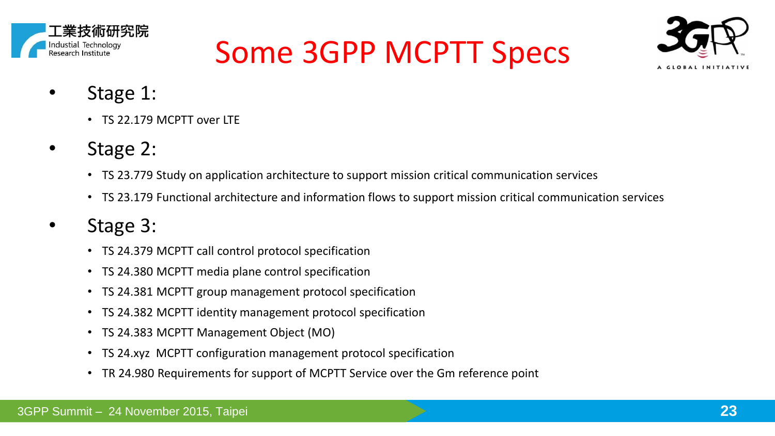

## Some 3GPP MCPTT Specs



- Stage 1:
	- TS 22.179 MCPTT over ITF
- Stage 2:
	- TS 23.779 Study on application architecture to support mission critical communication services
	- TS 23.179 Functional architecture and information flows to support mission critical communication services
- Stage 3:
	- TS 24.379 MCPTT call control protocol specification
	- TS 24.380 MCPTT media plane control specification
	- TS 24.381 MCPTT group management protocol specification
	- TS 24.382 MCPTT identity management protocol specification
	- TS 24.383 MCPTT Management Object (MO)
	- TS 24.xyz MCPTT configuration management protocol specification
	- TR 24.980 Requirements for support of MCPTT Service over the Gm reference point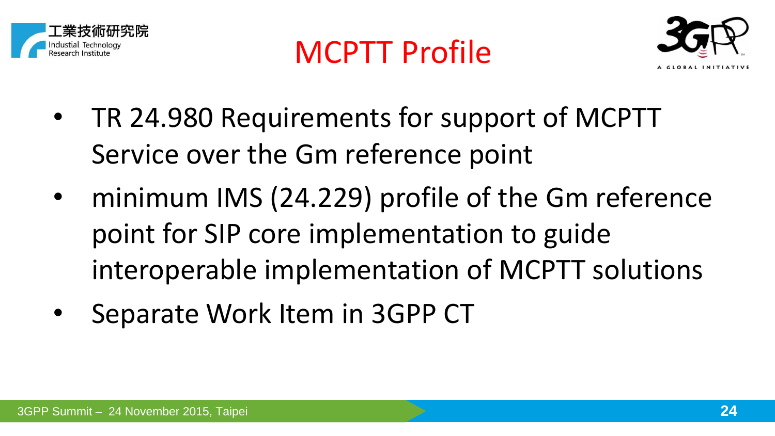





- TR 24.980 Requirements for support of MCPTT Service over the Gm reference point
- minimum IMS (24.229) profile of the Gm reference point for SIP core implementation to guide interoperable implementation of MCPTT solutions
- Separate Work Item in 3GPP CT